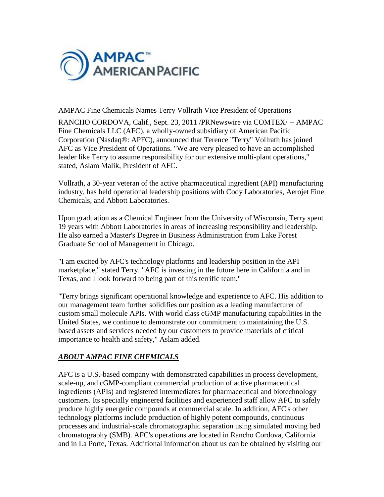

## AMPAC Fine Chemicals Names Terry Vollrath Vice President of Operations

RANCHO CORDOVA, Calif., Sept. 23, 2011 /PRNewswire via COMTEX/ -- AMPAC Fine Chemicals LLC (AFC), a wholly-owned subsidiary of American Pacific Corporation (Nasdaq®: APFC), announced that Terence "Terry" Vollrath has joined AFC as Vice President of Operations. "We are very pleased to have an accomplished leader like Terry to assume responsibility for our extensive multi-plant operations," stated, Aslam Malik, President of AFC.

Vollrath, a 30-year veteran of the active pharmaceutical ingredient (API) manufacturing industry, has held operational leadership positions with Cody Laboratories, Aerojet Fine Chemicals, and Abbott Laboratories.

Upon graduation as a Chemical Engineer from the University of Wisconsin, Terry spent 19 years with Abbott Laboratories in areas of increasing responsibility and leadership. He also earned a Master's Degree in Business Administration from Lake Forest Graduate School of Management in Chicago.

"I am excited by AFC's technology platforms and leadership position in the API marketplace," stated Terry. "AFC is investing in the future here in California and in Texas, and I look forward to being part of this terrific team."

"Terry brings significant operational knowledge and experience to AFC. His addition to our management team further solidifies our position as a leading manufacturer of custom small molecule APIs. With world class cGMP manufacturing capabilities in the United States, we continue to demonstrate our commitment to maintaining the U.S. based assets and services needed by our customers to provide materials of critical importance to health and safety," Aslam added.

## *ABOUT AMPAC FINE CHEMICALS*

AFC is a U.S.-based company with demonstrated capabilities in process development, scale-up, and cGMP-compliant commercial production of active pharmaceutical ingredients (APIs) and registered intermediates for pharmaceutical and biotechnology customers. Its specially engineered facilities and experienced staff allow AFC to safely produce highly energetic compounds at commercial scale. In addition, AFC's other technology platforms include production of highly potent compounds, continuous processes and industrial-scale chromatographic separation using simulated moving bed chromatography (SMB). AFC's operations are located in Rancho Cordova, California and in La Porte, Texas. Additional information about us can be obtained by visiting our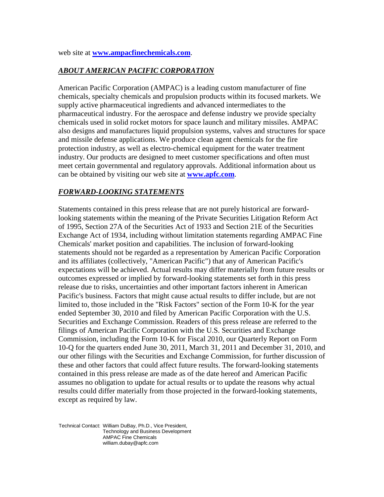web site at **www.ampacfinechemicals.com**.

## *ABOUT AMERICAN PACIFIC CORPORATION*

American Pacific Corporation (AMPAC) is a leading custom manufacturer of fine chemicals, specialty chemicals and propulsion products within its focused markets. We supply active pharmaceutical ingredients and advanced intermediates to the pharmaceutical industry. For the aerospace and defense industry we provide specialty chemicals used in solid rocket motors for space launch and military missiles. AMPAC also designs and manufactures liquid propulsion systems, valves and structures for space and missile defense applications. We produce clean agent chemicals for the fire protection industry, as well as electro-chemical equipment for the water treatment industry. Our products are designed to meet customer specifications and often must meet certain governmental and regulatory approvals. Additional information about us can be obtained by visiting our web site at **www.apfc.com**.

## *FORWARD-LOOKING STATEMENTS*

Statements contained in this press release that are not purely historical are forwardlooking statements within the meaning of the Private Securities Litigation Reform Act of 1995, Section 27A of the Securities Act of 1933 and Section 21E of the Securities Exchange Act of 1934, including without limitation statements regarding AMPAC Fine Chemicals' market position and capabilities. The inclusion of forward-looking statements should not be regarded as a representation by American Pacific Corporation and its affiliates (collectively, "American Pacific") that any of American Pacific's expectations will be achieved. Actual results may differ materially from future results or outcomes expressed or implied by forward-looking statements set forth in this press release due to risks, uncertainties and other important factors inherent in American Pacific's business. Factors that might cause actual results to differ include, but are not limited to, those included in the "Risk Factors" section of the Form 10-K for the year ended September 30, 2010 and filed by American Pacific Corporation with the U.S. Securities and Exchange Commission. Readers of this press release are referred to the filings of American Pacific Corporation with the U.S. Securities and Exchange Commission, including the Form 10-K for Fiscal 2010, our Quarterly Report on Form 10-Q for the quarters ended June 30, 2011, March 31, 2011 and December 31, 2010, and our other filings with the Securities and Exchange Commission, for further discussion of these and other factors that could affect future results. The forward-looking statements contained in this press release are made as of the date hereof and American Pacific assumes no obligation to update for actual results or to update the reasons why actual results could differ materially from those projected in the forward-looking statements, except as required by law.

Technical Contact: William DuBay, Ph.D., Vice President, Technology and Business Development AMPAC Fine Chemicals william.dubay@apfc.com